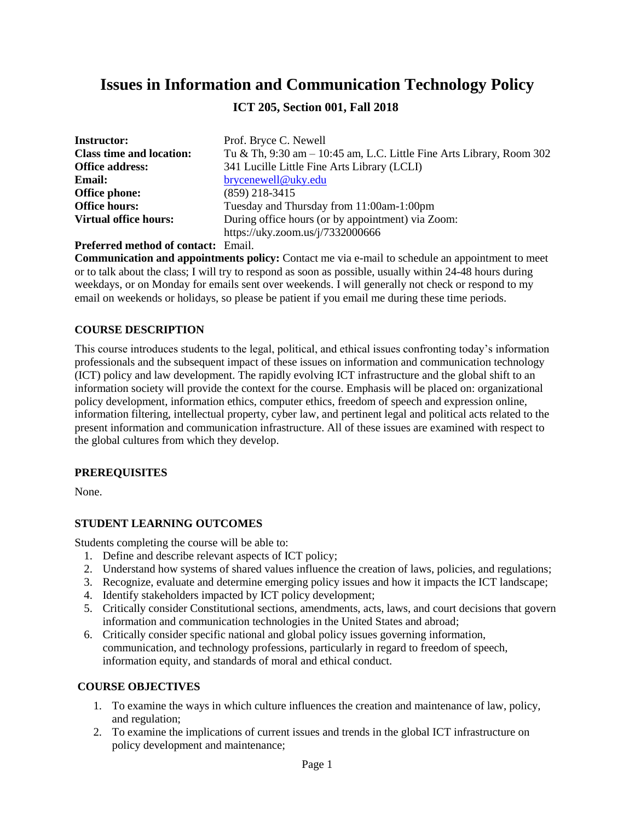# **Issues in Information and Communication Technology Policy**

**ICT 205, Section 001, Fall 2018**

| <b>Instructor:</b>              | Prof. Bryce C. Newell                                                   |
|---------------------------------|-------------------------------------------------------------------------|
| <b>Class time and location:</b> | Tu & Th, $9:30$ am $-10:45$ am, L.C. Little Fine Arts Library, Room 302 |
| <b>Office address:</b>          | 341 Lucille Little Fine Arts Library (LCLI)                             |
| <b>Email:</b>                   | brycenewell@uky.edu                                                     |
| <b>Office phone:</b>            | $(859)$ 218-3415                                                        |
| <b>Office hours:</b>            | Tuesday and Thursday from 11:00am-1:00pm                                |
| <b>Virtual office hours:</b>    | During office hours (or by appointment) via Zoom:                       |
|                                 | https://uky.zoom.us/j/7332000666                                        |

**Preferred method of contact:** Email.

**Communication and appointments policy:** Contact me via e-mail to schedule an appointment to meet or to talk about the class; I will try to respond as soon as possible, usually within 24-48 hours during weekdays, or on Monday for emails sent over weekends. I will generally not check or respond to my email on weekends or holidays, so please be patient if you email me during these time periods.

#### **COURSE DESCRIPTION**

This course introduces students to the legal, political, and ethical issues confronting today's information professionals and the subsequent impact of these issues on information and communication technology (ICT) policy and law development. The rapidly evolving ICT infrastructure and the global shift to an information society will provide the context for the course. Emphasis will be placed on: organizational policy development, information ethics, computer ethics, freedom of speech and expression online, information filtering, intellectual property, cyber law, and pertinent legal and political acts related to the present information and communication infrastructure. All of these issues are examined with respect to the global cultures from which they develop.

#### **PREREQUISITES**

None.

# **STUDENT LEARNING OUTCOMES**

Students completing the course will be able to:

- 1. Define and describe relevant aspects of ICT policy;
- 2. Understand how systems of shared values influence the creation of laws, policies, and regulations;
- 3. Recognize, evaluate and determine emerging policy issues and how it impacts the ICT landscape;
- 4. Identify stakeholders impacted by ICT policy development;
- 5. Critically consider Constitutional sections, amendments, acts, laws, and court decisions that govern information and communication technologies in the United States and abroad;
- 6. Critically consider specific national and global policy issues governing information, communication, and technology professions, particularly in regard to freedom of speech, information equity, and standards of moral and ethical conduct.

# **COURSE OBJECTIVES**

- 1. To examine the ways in which culture influences the creation and maintenance of law, policy, and regulation;
- 2. To examine the implications of current issues and trends in the global ICT infrastructure on policy development and maintenance;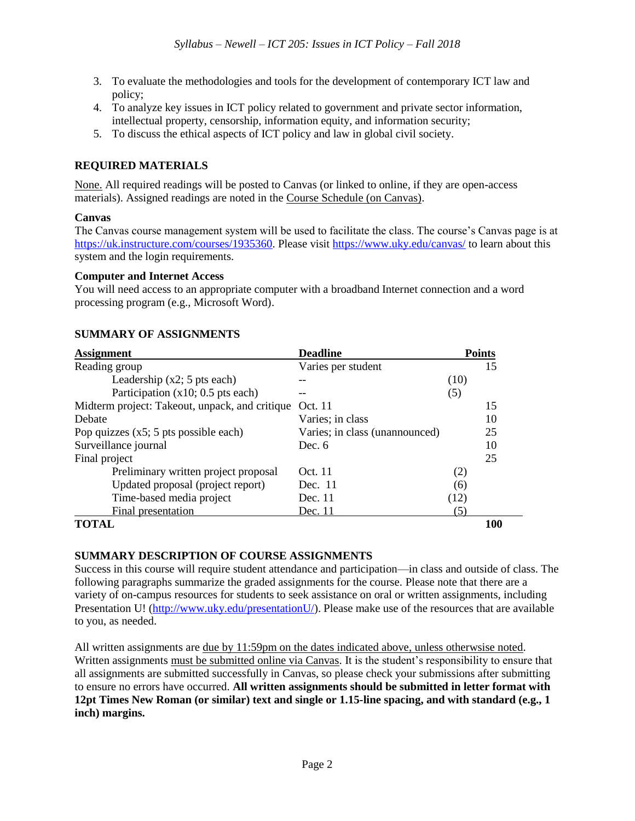- 3. To evaluate the methodologies and tools for the development of contemporary ICT law and policy;
- 4. To analyze key issues in ICT policy related to government and private sector information, intellectual property, censorship, information equity, and information security;
- 5. To discuss the ethical aspects of ICT policy and law in global civil society.

# **REQUIRED MATERIALS**

None. All required readings will be posted to Canvas (or linked to online, if they are open-access materials). Assigned readings are noted in the Course Schedule (on Canvas).

#### **Canvas**

The Canvas course management system will be used to facilitate the class. The course's Canvas page is at [https://uk.instructure.com/courses/1935360.](https://uk.instructure.com/courses/1935360) Please visit<https://www.uky.edu/canvas/> to learn about this system and the login requirements.

#### **Computer and Internet Access**

You will need access to an appropriate computer with a broadband Internet connection and a word processing program (e.g., Microsoft Word).

| <b>Assignment</b>                              | <b>Deadline</b>                | <b>Points</b> |     |
|------------------------------------------------|--------------------------------|---------------|-----|
| Reading group                                  | Varies per student             |               | 15  |
| Leadership $(x2; 5$ pts each)                  |                                | (10)          |     |
| Participation $(x10; 0.5$ pts each)            |                                | (5)           |     |
| Midterm project: Takeout, unpack, and critique | Oct. 11                        |               | 15  |
| Debate                                         | Varies; in class               |               | 10  |
| Pop quizzes $(x5; 5$ pts possible each)        | Varies; in class (unannounced) |               | 25  |
| Surveillance journal                           | Dec. 6                         |               | 10  |
| Final project                                  |                                |               | 25  |
| Preliminary written project proposal           | Oct. 11                        | (2)           |     |
| Updated proposal (project report)              | Dec. 11                        | (6)           |     |
| Time-based media project                       | Dec. 11                        | (12)          |     |
| Final presentation                             | Dec. 11                        | (5)           |     |
| TOTAL                                          |                                |               | 100 |

# **SUMMARY OF ASSIGNMENTS**

# **SUMMARY DESCRIPTION OF COURSE ASSIGNMENTS**

Success in this course will require student attendance and participation—in class and outside of class. The following paragraphs summarize the graded assignments for the course. Please note that there are a variety of on-campus resources for students to seek assistance on oral or written assignments, including Presentation U! [\(http://www.uky.edu/presentationU/\)](http://www.uky.edu/presentationU/). Please make use of the resources that are available to you, as needed.

All written assignments are due by 11:59pm on the dates indicated above, unless otherwsise noted. Written assignments must be submitted online via Canvas. It is the student's responsibility to ensure that all assignments are submitted successfully in Canvas, so please check your submissions after submitting to ensure no errors have occurred. **All written assignments should be submitted in letter format with 12pt Times New Roman (or similar) text and single or 1.15-line spacing, and with standard (e.g., 1 inch) margins.**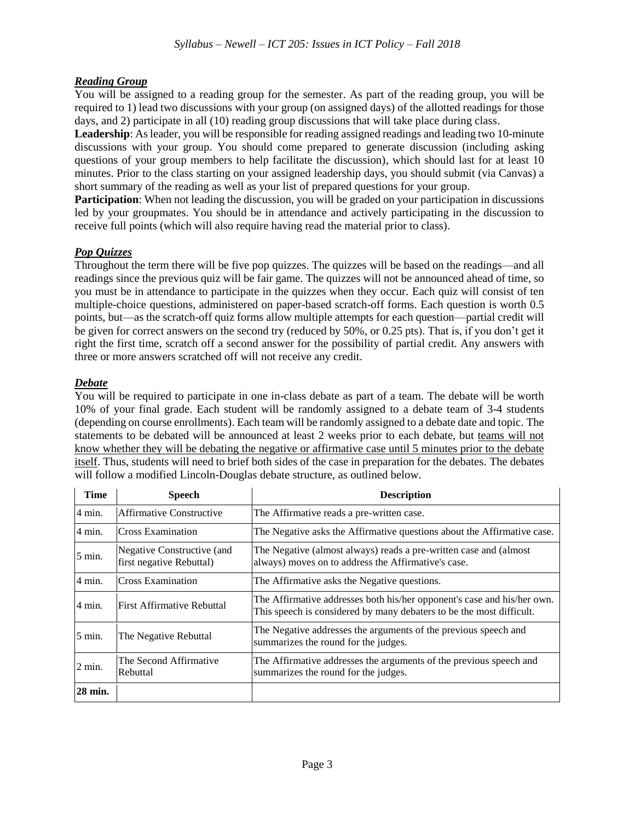# *Reading Group*

You will be assigned to a reading group for the semester. As part of the reading group, you will be required to 1) lead two discussions with your group (on assigned days) of the allotted readings for those days, and 2) participate in all (10) reading group discussions that will take place during class.

**Leadership**: As leader, you will be responsible for reading assigned readings and leading two 10-minute discussions with your group. You should come prepared to generate discussion (including asking questions of your group members to help facilitate the discussion), which should last for at least 10 minutes. Prior to the class starting on your assigned leadership days, you should submit (via Canvas) a short summary of the reading as well as your list of prepared questions for your group.

**Participation**: When not leading the discussion, you will be graded on your participation in discussions led by your groupmates. You should be in attendance and actively participating in the discussion to receive full points (which will also require having read the material prior to class).

# *Pop Quizzes*

Throughout the term there will be five pop quizzes. The quizzes will be based on the readings—and all readings since the previous quiz will be fair game. The quizzes will not be announced ahead of time, so you must be in attendance to participate in the quizzes when they occur. Each quiz will consist of ten multiple-choice questions, administered on paper-based scratch-off forms. Each question is worth 0.5 points, but—as the scratch-off quiz forms allow multiple attempts for each question—partial credit will be given for correct answers on the second try (reduced by 50%, or 0.25 pts). That is, if you don't get it right the first time, scratch off a second answer for the possibility of partial credit. Any answers with three or more answers scratched off will not receive any credit.

# *Debate*

You will be required to participate in one in-class debate as part of a team. The debate will be worth 10% of your final grade. Each student will be randomly assigned to a debate team of 3-4 students (depending on course enrollments). Each team will be randomly assigned to a debate date and topic. The statements to be debated will be announced at least 2 weeks prior to each debate, but teams will not know whether they will be debating the negative or affirmative case until 5 minutes prior to the debate itself. Thus, students will need to brief both sides of the case in preparation for the debates. The debates will follow a modified Lincoln-Douglas debate structure, as outlined below.

| <b>Time</b>      | <b>Speech</b>                                          | <b>Description</b>                                                                                                                              |
|------------------|--------------------------------------------------------|-------------------------------------------------------------------------------------------------------------------------------------------------|
| 4 min.           | <b>Affirmative Constructive</b>                        | The Affirmative reads a pre-written case.                                                                                                       |
| 4 min.           | Cross Examination                                      | The Negative asks the Affirmative questions about the Affirmative case.                                                                         |
| 5 min.           | Negative Constructive (and<br>first negative Rebuttal) | The Negative (almost always) reads a pre-written case and (almost<br>always) moves on to address the Affirmative's case.                        |
| 4 min.           | <b>Cross Examination</b>                               | The Affirmative asks the Negative questions.                                                                                                    |
| 4 min.           | <b>First Affirmative Rebuttal</b>                      | The Affirmative addresses both his/her opponent's case and his/her own.<br>This speech is considered by many debaters to be the most difficult. |
| $5 \text{ min.}$ | The Negative Rebuttal                                  | The Negative addresses the arguments of the previous speech and<br>summarizes the round for the judges.                                         |
| $2$ min.         | The Second Affirmative<br>Rebuttal                     | The Affirmative addresses the arguments of the previous speech and<br>summarizes the round for the judges.                                      |
| 28 min.          |                                                        |                                                                                                                                                 |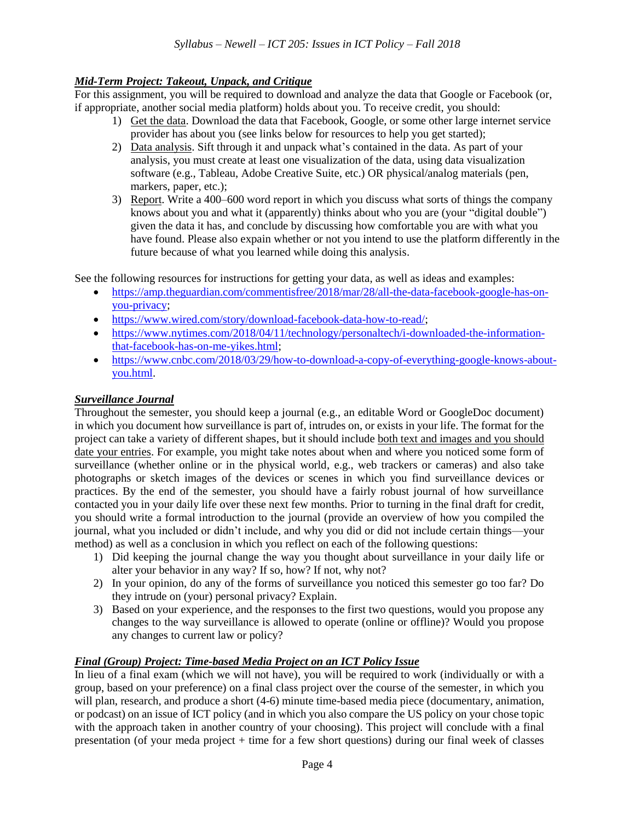# *Mid-Term Project: Takeout, Unpack, and Critique*

For this assignment, you will be required to download and analyze the data that Google or Facebook (or, if appropriate, another social media platform) holds about you. To receive credit, you should:

- 1) Get the data. Download the data that Facebook, Google, or some other large internet service provider has about you (see links below for resources to help you get started);
- 2) Data analysis. Sift through it and unpack what's contained in the data. As part of your analysis, you must create at least one visualization of the data, using data visualization software (e.g., Tableau, Adobe Creative Suite, etc.) OR physical/analog materials (pen, markers, paper, etc.);
- 3) Report. Write a 400–600 word report in which you discuss what sorts of things the company knows about you and what it (apparently) thinks about who you are (your "digital double") given the data it has, and conclude by discussing how comfortable you are with what you have found. Please also expain whether or not you intend to use the platform differently in the future because of what you learned while doing this analysis.

See the following resources for instructions for getting your data, as well as ideas and examples:

- [https://amp.theguardian.com/commentisfree/2018/mar/28/all-the-data-facebook-google-has-on](https://amp.theguardian.com/commentisfree/2018/mar/28/all-the-data-facebook-google-has-on-you-privacy)[you-privacy;](https://amp.theguardian.com/commentisfree/2018/mar/28/all-the-data-facebook-google-has-on-you-privacy)
- [https://www.wired.com/story/download-facebook-data-how-to-read/;](https://www.wired.com/story/download-facebook-data-how-to-read/)
- [https://www.nytimes.com/2018/04/11/technology/personaltech/i-downloaded-the-information](https://www.nytimes.com/2018/04/11/technology/personaltech/i-downloaded-the-information-that-facebook-has-on-me-yikes.html)[that-facebook-has-on-me-yikes.html;](https://www.nytimes.com/2018/04/11/technology/personaltech/i-downloaded-the-information-that-facebook-has-on-me-yikes.html)
- [https://www.cnbc.com/2018/03/29/how-to-download-a-copy-of-everything-google-knows-about](https://www.cnbc.com/2018/03/29/how-to-download-a-copy-of-everything-google-knows-about-you.html)[you.html.](https://www.cnbc.com/2018/03/29/how-to-download-a-copy-of-everything-google-knows-about-you.html)

# *Surveillance Journal*

Throughout the semester, you should keep a journal (e.g., an editable Word or GoogleDoc document) in which you document how surveillance is part of, intrudes on, or exists in your life. The format for the project can take a variety of different shapes, but it should include both text and images and you should date your entries. For example, you might take notes about when and where you noticed some form of surveillance (whether online or in the physical world, e.g., web trackers or cameras) and also take photographs or sketch images of the devices or scenes in which you find surveillance devices or practices. By the end of the semester, you should have a fairly robust journal of how surveillance contacted you in your daily life over these next few months. Prior to turning in the final draft for credit, you should write a formal introduction to the journal (provide an overview of how you compiled the journal, what you included or didn't include, and why you did or did not include certain things—your method) as well as a conclusion in which you reflect on each of the following questions:

- 1) Did keeping the journal change the way you thought about surveillance in your daily life or alter your behavior in any way? If so, how? If not, why not?
- 2) In your opinion, do any of the forms of surveillance you noticed this semester go too far? Do they intrude on (your) personal privacy? Explain.
- 3) Based on your experience, and the responses to the first two questions, would you propose any changes to the way surveillance is allowed to operate (online or offline)? Would you propose any changes to current law or policy?

# *Final (Group) Project: Time-based Media Project on an ICT Policy Issue*

In lieu of a final exam (which we will not have), you will be required to work (individually or with a group, based on your preference) on a final class project over the course of the semester, in which you will plan, research, and produce a short  $(4-6)$  minute time-based media piece (documentary, animation, or podcast) on an issue of ICT policy (and in which you also compare the US policy on your chose topic with the approach taken in another country of your choosing). This project will conclude with a final presentation (of your meda project + time for a few short questions) during our final week of classes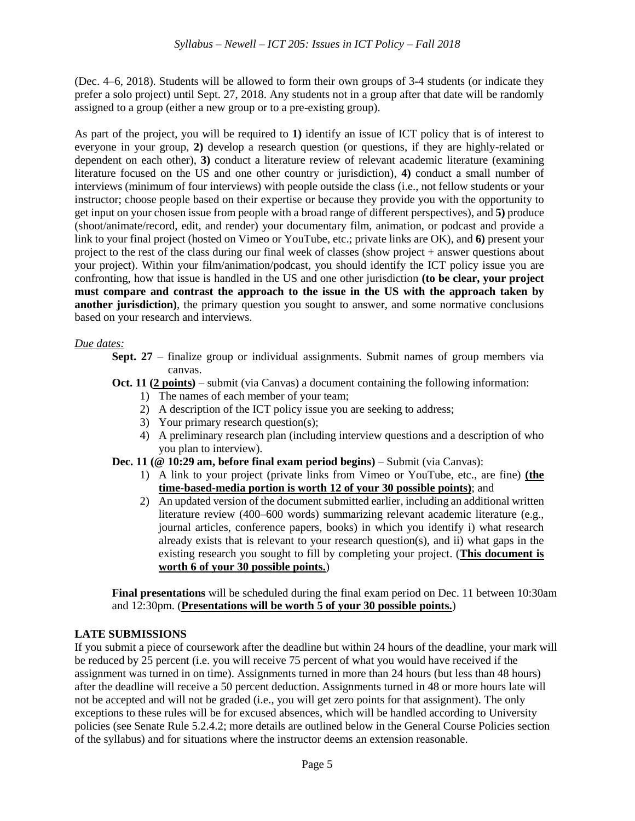(Dec. 4–6, 2018). Students will be allowed to form their own groups of 3-4 students (or indicate they prefer a solo project) until Sept. 27, 2018. Any students not in a group after that date will be randomly assigned to a group (either a new group or to a pre-existing group).

As part of the project, you will be required to **1)** identify an issue of ICT policy that is of interest to everyone in your group, **2)** develop a research question (or questions, if they are highly-related or dependent on each other), **3)** conduct a literature review of relevant academic literature (examining literature focused on the US and one other country or jurisdiction), **4)** conduct a small number of interviews (minimum of four interviews) with people outside the class (i.e., not fellow students or your instructor; choose people based on their expertise or because they provide you with the opportunity to get input on your chosen issue from people with a broad range of different perspectives), and **5)** produce (shoot/animate/record, edit, and render) your documentary film, animation, or podcast and provide a link to your final project (hosted on Vimeo or YouTube, etc.; private links are OK), and **6)** present your project to the rest of the class during our final week of classes (show project + answer questions about your project). Within your film/animation/podcast, you should identify the ICT policy issue you are confronting, how that issue is handled in the US and one other jurisdiction **(to be clear, your project must compare and contrast the approach to the issue in the US with the approach taken by another jurisdiction)**, the primary question you sought to answer, and some normative conclusions based on your research and interviews.

#### *Due dates:*

- **Sept. 27** finalize group or individual assignments. Submit names of group members via canvas.
- **Oct. 11 (2 points)** submit (via Canvas) a document containing the following information:
	- 1) The names of each member of your team;
	- 2) A description of the ICT policy issue you are seeking to address;
	- 3) Your primary research question(s);
	- 4) A preliminary research plan (including interview questions and a description of who you plan to interview).
- **Dec. 11 (@ 10:29 am, before final exam period begins)** Submit (via Canvas):
	- 1) A link to your project (private links from Vimeo or YouTube, etc., are fine) **(the time-based-media portion is worth 12 of your 30 possible points)**; and
	- 2) An updated version of the document submitted earlier, including an additional written literature review (400–600 words) summarizing relevant academic literature (e.g., journal articles, conference papers, books) in which you identify i) what research already exists that is relevant to your research question(s), and ii) what gaps in the existing research you sought to fill by completing your project. (**This document is worth 6 of your 30 possible points.**)

**Final presentations** will be scheduled during the final exam period on Dec. 11 between 10:30am and 12:30pm. (**Presentations will be worth 5 of your 30 possible points.**)

# **LATE SUBMISSIONS**

If you submit a piece of coursework after the deadline but within 24 hours of the deadline, your mark will be reduced by 25 percent (i.e. you will receive 75 percent of what you would have received if the assignment was turned in on time). Assignments turned in more than 24 hours (but less than 48 hours) after the deadline will receive a 50 percent deduction. Assignments turned in 48 or more hours late will not be accepted and will not be graded (i.e., you will get zero points for that assignment). The only exceptions to these rules will be for excused absences, which will be handled according to University policies (see Senate Rule 5.2.4.2; more details are outlined below in the General Course Policies section of the syllabus) and for situations where the instructor deems an extension reasonable.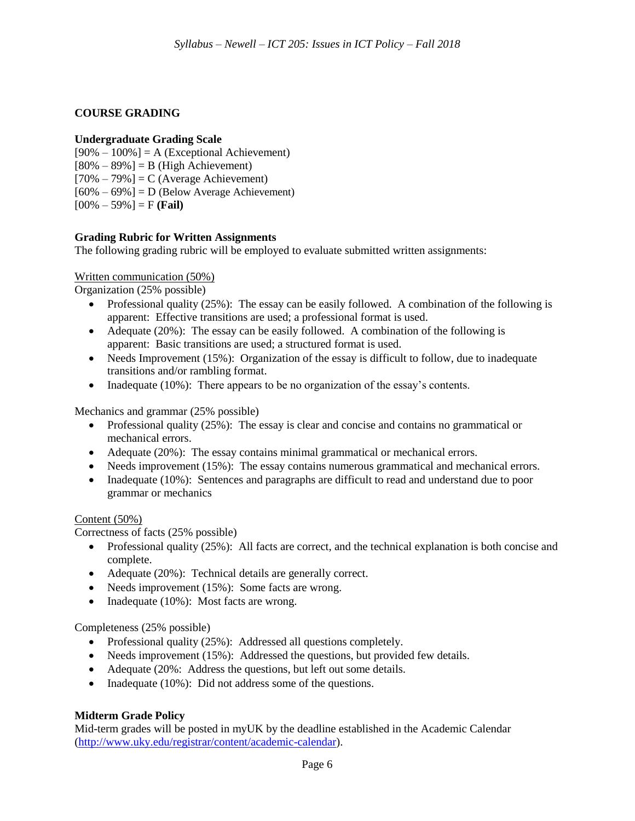#### **COURSE GRADING**

#### **Undergraduate Grading Scale**

- $[90\% 100\%] = A$  (Exceptional Achievement)
- $[80\% 89\%] = B$  (High Achievement)  $[70\% - 79\%] = C$  (Average Achievement)
- $[60\% 69\%] = D$  (Below Average Achievement)
- $[00\% 59\%] = F$  **(Fail)**

#### **Grading Rubric for Written Assignments**

The following grading rubric will be employed to evaluate submitted written assignments:

#### Written communication (50%)

Organization (25% possible)

- Professional quality (25%): The essay can be easily followed. A combination of the following is apparent: Effective transitions are used; a professional format is used.
- Adequate (20%): The essay can be easily followed. A combination of the following is apparent: Basic transitions are used; a structured format is used.
- Needs Improvement (15%): Organization of the essay is difficult to follow, due to inadequate transitions and/or rambling format.
- Inadequate (10%): There appears to be no organization of the essay's contents.

#### Mechanics and grammar (25% possible)

- Professional quality (25%): The essay is clear and concise and contains no grammatical or mechanical errors.
- Adequate (20%): The essay contains minimal grammatical or mechanical errors.
- Needs improvement (15%): The essay contains numerous grammatical and mechanical errors.
- Inadequate (10%): Sentences and paragraphs are difficult to read and understand due to poor grammar or mechanics

#### Content (50%)

Correctness of facts (25% possible)

- Professional quality (25%): All facts are correct, and the technical explanation is both concise and complete.
- Adequate (20%): Technical details are generally correct.
- Needs improvement (15%): Some facts are wrong.
- Inadequate (10%): Most facts are wrong.

#### Completeness (25% possible)

- Professional quality (25%): Addressed all questions completely.
- Needs improvement (15%): Addressed the questions, but provided few details.
- Adequate (20%: Address the questions, but left out some details.
- Inadequate (10%): Did not address some of the questions.

#### **Midterm Grade Policy**

Mid-term grades will be posted in myUK by the deadline established in the Academic Calendar [\(http://www.uky.edu/registrar/content/academic-calendar\)](http://www.uky.edu/registrar/content/academic-calendar).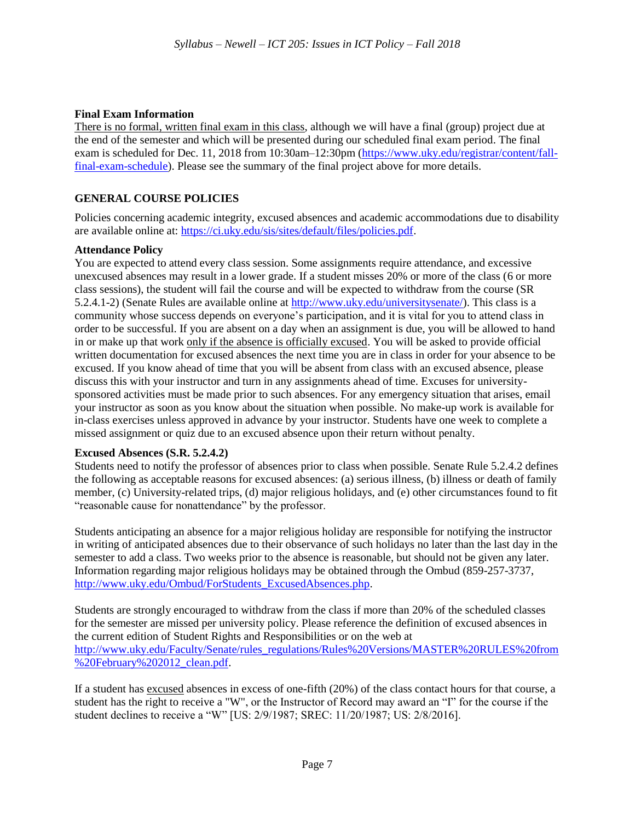#### **Final Exam Information**

There is no formal, written final exam in this class, although we will have a final (group) project due at the end of the semester and which will be presented during our scheduled final exam period. The final exam is scheduled for Dec. 11, 2018 from 10:30am–12:30pm [\(https://www.uky.edu/registrar/content/fall](https://www.uky.edu/registrar/content/fall-final-exam-schedule)[final-exam-schedule\)](https://www.uky.edu/registrar/content/fall-final-exam-schedule). Please see the summary of the final project above for more details.

### **GENERAL COURSE POLICIES**

Policies concerning academic integrity, excused absences and academic accommodations due to disability are available online at: [https://ci.uky.edu/sis/sites/default/files/policies.pdf.](https://ci.uky.edu/sis/sites/default/files/policies.pdf)

#### **Attendance Policy**

You are expected to attend every class session. Some assignments require attendance, and excessive unexcused absences may result in a lower grade. If a student misses 20% or more of the class (6 or more class sessions), the student will fail the course and will be expected to withdraw from the course (SR 5.2.4.1-2) (Senate Rules are available online at [http://www.uky.edu/universitysenate/\)](http://www.uky.edu/universitysenate/). This class is a community whose success depends on everyone's participation, and it is vital for you to attend class in order to be successful. If you are absent on a day when an assignment is due, you will be allowed to hand in or make up that work only if the absence is officially excused. You will be asked to provide official written documentation for excused absences the next time you are in class in order for your absence to be excused. If you know ahead of time that you will be absent from class with an excused absence, please discuss this with your instructor and turn in any assignments ahead of time. Excuses for universitysponsored activities must be made prior to such absences. For any emergency situation that arises, email your instructor as soon as you know about the situation when possible. No make-up work is available for in-class exercises unless approved in advance by your instructor. Students have one week to complete a missed assignment or quiz due to an excused absence upon their return without penalty.

#### **Excused Absences (S.R. 5.2.4.2)**

Students need to notify the professor of absences prior to class when possible. Senate Rule 5.2.4.2 defines the following as acceptable reasons for excused absences: (a) serious illness, (b) illness or death of family member, (c) University-related trips, (d) major religious holidays, and (e) other circumstances found to fit "reasonable cause for nonattendance" by the professor.

Students anticipating an absence for a major religious holiday are responsible for notifying the instructor in writing of anticipated absences due to their observance of such holidays no later than the last day in the semester to add a class. Two weeks prior to the absence is reasonable, but should not be given any later. Information regarding major religious holidays may be obtained through the Ombud (859-257-3737, [http://www.uky.edu/Ombud/ForStudents\\_ExcusedAbsences.php.](http://www.uky.edu/Ombud/ForStudents_ExcusedAbsences.php)

Students are strongly encouraged to withdraw from the class if more than 20% of the scheduled classes for the semester are missed per university policy. Please reference the definition of excused absences in the current edition of Student Rights and Responsibilities or on the web at [http://www.uky.edu/Faculty/Senate/rules\\_regulations/Rules%20Versions/MASTER%20RULES%20from](http://www.uky.edu/Faculty/Senate/rules_regulations/Rules%20Versions/MASTER%20RULES%20from%20February%202012_clean.pdf) [%20February%202012\\_clean.pdf.](http://www.uky.edu/Faculty/Senate/rules_regulations/Rules%20Versions/MASTER%20RULES%20from%20February%202012_clean.pdf)

If a student has excused absences in excess of one-fifth (20%) of the class contact hours for that course, a student has the right to receive a "W", or the Instructor of Record may award an "I" for the course if the student declines to receive a "W" [US: 2/9/1987; SREC: 11/20/1987; US: 2/8/2016].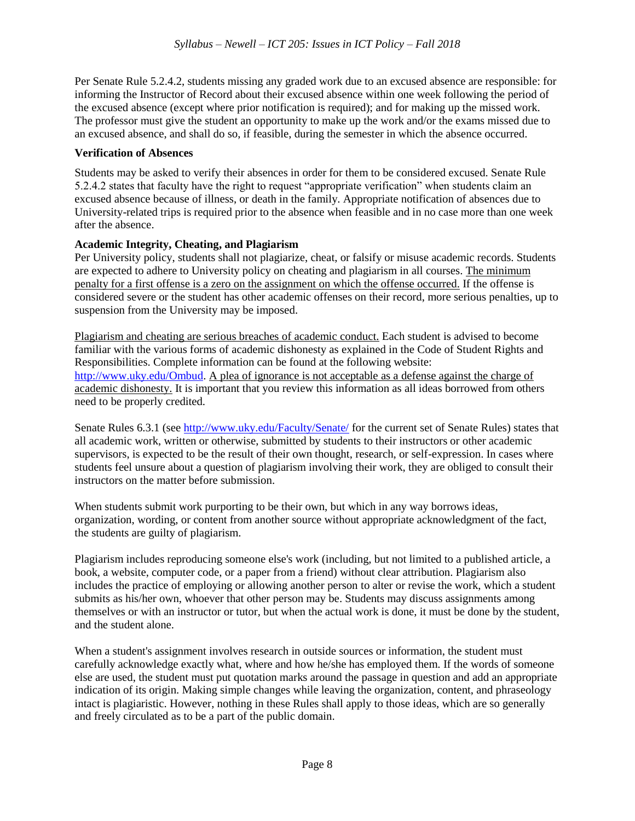Per Senate Rule 5.2.4.2, students missing any graded work due to an excused absence are responsible: for informing the Instructor of Record about their excused absence within one week following the period of the excused absence (except where prior notification is required); and for making up the missed work. The professor must give the student an opportunity to make up the work and/or the exams missed due to an excused absence, and shall do so, if feasible, during the semester in which the absence occurred.

#### **Verification of Absences**

Students may be asked to verify their absences in order for them to be considered excused. Senate Rule 5.2.4.2 states that faculty have the right to request "appropriate verification" when students claim an excused absence because of illness, or death in the family. Appropriate notification of absences due to University-related trips is required prior to the absence when feasible and in no case more than one week after the absence.

#### **Academic Integrity, Cheating, and Plagiarism**

Per University policy, students shall not plagiarize, cheat, or falsify or misuse academic records. Students are expected to adhere to University policy on cheating and plagiarism in all courses. The minimum penalty for a first offense is a zero on the assignment on which the offense occurred. If the offense is considered severe or the student has other academic offenses on their record, more serious penalties, up to suspension from the University may be imposed.

Plagiarism and cheating are serious breaches of academic conduct. Each student is advised to become familiar with the various forms of academic dishonesty as explained in the Code of Student Rights and Responsibilities. Complete information can be found at the following website: [http://www.uky.edu/Ombud.](http://www.uky.edu/Ombud) A plea of ignorance is not acceptable as a defense against the charge of academic dishonesty. It is important that you review this information as all ideas borrowed from others need to be properly credited.

Senate Rules 6.3.1 (see<http://www.uky.edu/Faculty/Senate/> for the current set of Senate Rules) states that all academic work, written or otherwise, submitted by students to their instructors or other academic supervisors, is expected to be the result of their own thought, research, or self-expression. In cases where students feel unsure about a question of plagiarism involving their work, they are obliged to consult their instructors on the matter before submission.

When students submit work purporting to be their own, but which in any way borrows ideas, organization, wording, or content from another source without appropriate acknowledgment of the fact, the students are guilty of plagiarism.

Plagiarism includes reproducing someone else's work (including, but not limited to a published article, a book, a website, computer code, or a paper from a friend) without clear attribution. Plagiarism also includes the practice of employing or allowing another person to alter or revise the work, which a student submits as his/her own, whoever that other person may be. Students may discuss assignments among themselves or with an instructor or tutor, but when the actual work is done, it must be done by the student, and the student alone.

When a student's assignment involves research in outside sources or information, the student must carefully acknowledge exactly what, where and how he/she has employed them. If the words of someone else are used, the student must put quotation marks around the passage in question and add an appropriate indication of its origin. Making simple changes while leaving the organization, content, and phraseology intact is plagiaristic. However, nothing in these Rules shall apply to those ideas, which are so generally and freely circulated as to be a part of the public domain.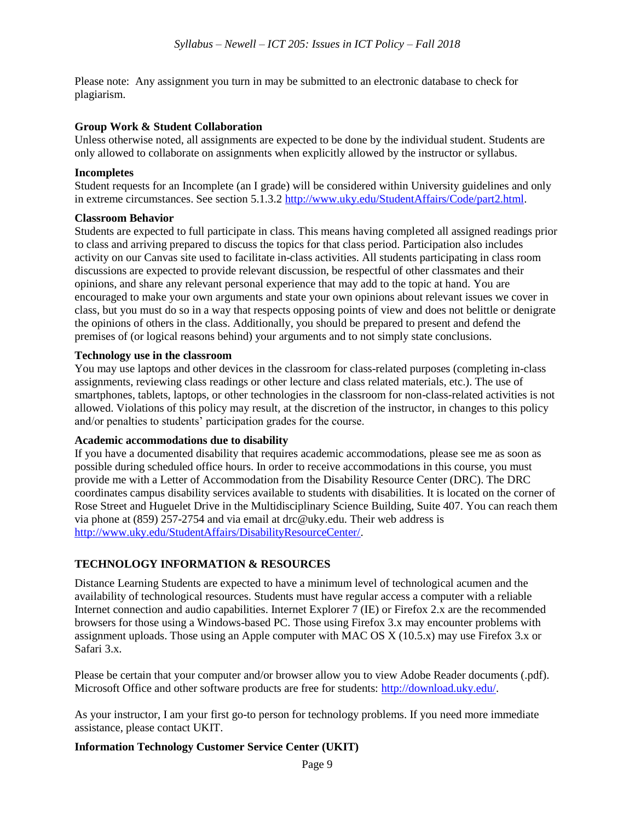Please note: Any assignment you turn in may be submitted to an electronic database to check for plagiarism.

#### **Group Work & Student Collaboration**

Unless otherwise noted, all assignments are expected to be done by the individual student. Students are only allowed to collaborate on assignments when explicitly allowed by the instructor or syllabus.

#### **Incompletes**

Student requests for an Incomplete (an I grade) will be considered within University guidelines and only in extreme circumstances. See section 5.1.3.2 http://www.uky.edu/StudentAffairs/Code/part2.html.

#### **Classroom Behavior**

Students are expected to full participate in class. This means having completed all assigned readings prior to class and arriving prepared to discuss the topics for that class period. Participation also includes activity on our Canvas site used to facilitate in-class activities. All students participating in class room discussions are expected to provide relevant discussion, be respectful of other classmates and their opinions, and share any relevant personal experience that may add to the topic at hand. You are encouraged to make your own arguments and state your own opinions about relevant issues we cover in class, but you must do so in a way that respects opposing points of view and does not belittle or denigrate the opinions of others in the class. Additionally, you should be prepared to present and defend the premises of (or logical reasons behind) your arguments and to not simply state conclusions.

#### **Technology use in the classroom**

You may use laptops and other devices in the classroom for class-related purposes (completing in-class assignments, reviewing class readings or other lecture and class related materials, etc.). The use of smartphones, tablets, laptops, or other technologies in the classroom for non-class-related activities is not allowed. Violations of this policy may result, at the discretion of the instructor, in changes to this policy and/or penalties to students' participation grades for the course.

#### **Academic accommodations due to disability**

If you have a documented disability that requires academic accommodations, please see me as soon as possible during scheduled office hours. In order to receive accommodations in this course, you must provide me with a Letter of Accommodation from the Disability Resource Center (DRC). The DRC coordinates campus disability services available to students with disabilities. It is located on the corner of Rose Street and Huguelet Drive in the Multidisciplinary Science Building, Suite 407. You can reach them via phone at (859) 257-2754 and via email at drc@uky.edu. Their web address is [http://www.uky.edu/StudentAffairs/DisabilityResourceCenter/.](http://www.uky.edu/StudentAffairs/DisabilityResourceCenter/)

#### **TECHNOLOGY INFORMATION & RESOURCES**

Distance Learning Students are expected to have a minimum level of technological acumen and the availability of technological resources. Students must have regular access a computer with a reliable Internet connection and audio capabilities. Internet Explorer 7 (IE) or Firefox 2.x are the recommended browsers for those using a Windows-based PC. Those using Firefox 3.x may encounter problems with assignment uploads. Those using an Apple computer with MAC OS X (10.5.x) may use Firefox 3.x or Safari 3.x.

Please be certain that your computer and/or browser allow you to view Adobe Reader documents (.pdf). Microsoft Office and other software products are free for students: [http://download.uky.edu/.](http://download.uky.edu/)

As your instructor, I am your first go-to person for technology problems. If you need more immediate assistance, please contact UKIT.

#### **Information Technology Customer Service Center (UKIT)**